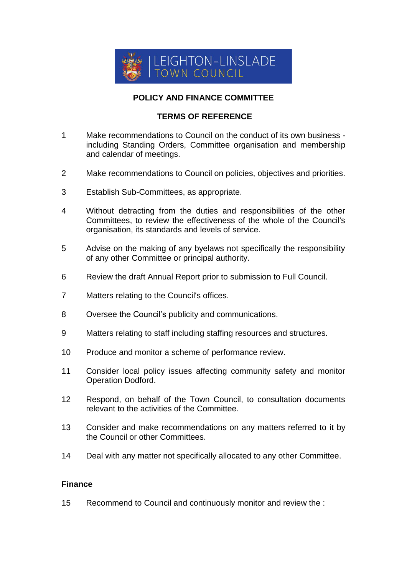

# **POLICY AND FINANCE COMMITTEE**

# **TERMS OF REFERENCE**

- 1 Make recommendations to Council on the conduct of its own business including Standing Orders, Committee organisation and membership and calendar of meetings.
- 2 Make recommendations to Council on policies, objectives and priorities.
- 3 Establish Sub-Committees, as appropriate.
- 4 Without detracting from the duties and responsibilities of the other Committees, to review the effectiveness of the whole of the Council's organisation, its standards and levels of service.
- 5 Advise on the making of any byelaws not specifically the responsibility of any other Committee or principal authority.
- 6 Review the draft Annual Report prior to submission to Full Council.
- 7 Matters relating to the Council's offices.
- 8 Oversee the Council's publicity and communications.
- 9 Matters relating to staff including staffing resources and structures.
- 10 Produce and monitor a scheme of performance review.
- 11 Consider local policy issues affecting community safety and monitor Operation Dodford.
- 12 Respond, on behalf of the Town Council, to consultation documents relevant to the activities of the Committee.
- 13 Consider and make recommendations on any matters referred to it by the Council or other Committees.
- 14 Deal with any matter not specifically allocated to any other Committee.

## **Finance**

15 Recommend to Council and continuously monitor and review the :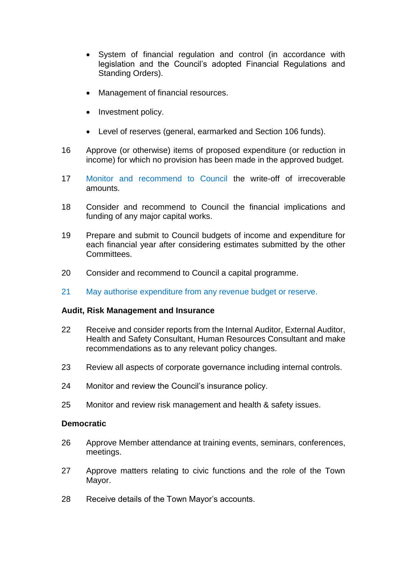- System of financial regulation and control (in accordance with legislation and the Council's adopted Financial Regulations and Standing Orders).
- Management of financial resources.
- Investment policy.
- Level of reserves (general, earmarked and Section 106 funds).
- 16 Approve (or otherwise) items of proposed expenditure (or reduction in income) for which no provision has been made in the approved budget.
- 17 Monitor and recommend to Council the write-off of irrecoverable amounts.
- 18 Consider and recommend to Council the financial implications and funding of any major capital works.
- 19 Prepare and submit to Council budgets of income and expenditure for each financial year after considering estimates submitted by the other Committees.
- 20 Consider and recommend to Council a capital programme.
- 21 May authorise expenditure from any revenue budget or reserve.

## **Audit, Risk Management and Insurance**

- 22 Receive and consider reports from the Internal Auditor, External Auditor, Health and Safety Consultant, Human Resources Consultant and make recommendations as to any relevant policy changes.
- 23 Review all aspects of corporate governance including internal controls.
- 24 Monitor and review the Council's insurance policy.
- 25 Monitor and review risk management and health & safety issues.

## **Democratic**

- 26 Approve Member attendance at training events, seminars, conferences, meetings.
- 27 Approve matters relating to civic functions and the role of the Town Mayor.
- 28 Receive details of the Town Mayor's accounts.